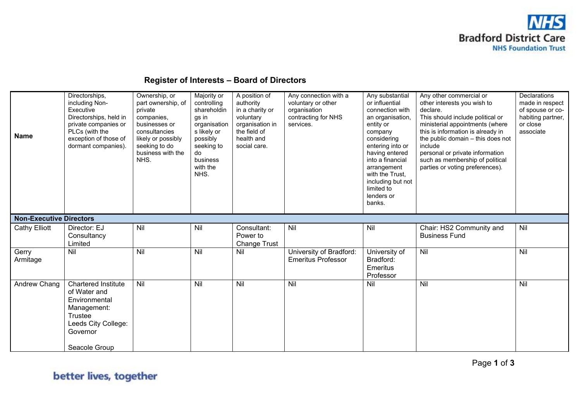

## **Register of Interests – Board of Directors**

| <b>Name</b>                    | Directorships,<br>including Non-<br>Executive<br>Directorships, held in<br>private companies or<br>PLCs (with the<br>exception of those of<br>dormant companies). | Ownership, or<br>part ownership, of<br>private<br>companies,<br>businesses or<br>consultancies<br>likely or possibly<br>seeking to do<br>business with the<br>NHS. | Majority or<br>controlling<br>shareholdin<br>gs in<br>organisation<br>s likely or<br>possibly<br>seeking to<br>do<br>business<br>with the<br>NHS. | A position of<br>authority<br>in a charity or<br>voluntary<br>organisation in<br>the field of<br>health and<br>social care. | Any connection with a<br>voluntary or other<br>organisation<br>contracting for NHS<br>services. | Any substantial<br>or influential<br>connection with<br>an organisation,<br>entity or<br>company<br>considering<br>entering into or<br>having entered<br>into a financial<br>arrangement<br>with the Trust.<br>including but not<br>limited to<br>lenders or<br>banks. | Any other commercial or<br>other interests you wish to<br>declare.<br>This should include political or<br>ministerial appointments (where<br>this is information is already in<br>the public domain - this does not<br>include<br>personal or private information<br>such as membership of political<br>parties or voting preferences). | Declarations<br>made in respect<br>of spouse or co-<br>habiting partner,<br>or close<br>associate |
|--------------------------------|-------------------------------------------------------------------------------------------------------------------------------------------------------------------|--------------------------------------------------------------------------------------------------------------------------------------------------------------------|---------------------------------------------------------------------------------------------------------------------------------------------------|-----------------------------------------------------------------------------------------------------------------------------|-------------------------------------------------------------------------------------------------|------------------------------------------------------------------------------------------------------------------------------------------------------------------------------------------------------------------------------------------------------------------------|-----------------------------------------------------------------------------------------------------------------------------------------------------------------------------------------------------------------------------------------------------------------------------------------------------------------------------------------|---------------------------------------------------------------------------------------------------|
| <b>Non-Executive Directors</b> |                                                                                                                                                                   |                                                                                                                                                                    |                                                                                                                                                   |                                                                                                                             |                                                                                                 |                                                                                                                                                                                                                                                                        |                                                                                                                                                                                                                                                                                                                                         |                                                                                                   |
| <b>Cathy Elliott</b>           | Director: EJ<br>Consultancy<br>Limited                                                                                                                            | Nil                                                                                                                                                                | Nil                                                                                                                                               | Consultant:<br>Power to<br><b>Change Trust</b>                                                                              | Nil                                                                                             | Nil                                                                                                                                                                                                                                                                    | Chair: HS2 Community and<br><b>Business Fund</b>                                                                                                                                                                                                                                                                                        | <b>Nil</b>                                                                                        |
| Gerry<br>Armitage              | Nil                                                                                                                                                               | Nil                                                                                                                                                                | Nil                                                                                                                                               | Nil                                                                                                                         | University of Bradford:<br><b>Emeritus Professor</b>                                            | University of<br>Bradford:<br>Emeritus<br>Professor                                                                                                                                                                                                                    | Nil                                                                                                                                                                                                                                                                                                                                     | Nil                                                                                               |
| Andrew Chang                   | <b>Chartered Institute</b><br>of Water and<br>Environmental<br>Management:<br>Trustee<br>Leeds City College:<br>Governor<br>Seacole Group                         | Nil                                                                                                                                                                | Nil                                                                                                                                               | Nil                                                                                                                         | Nil                                                                                             | Nil                                                                                                                                                                                                                                                                    | Nil                                                                                                                                                                                                                                                                                                                                     | Nil                                                                                               |

## better lives, together

Page **1** of **3**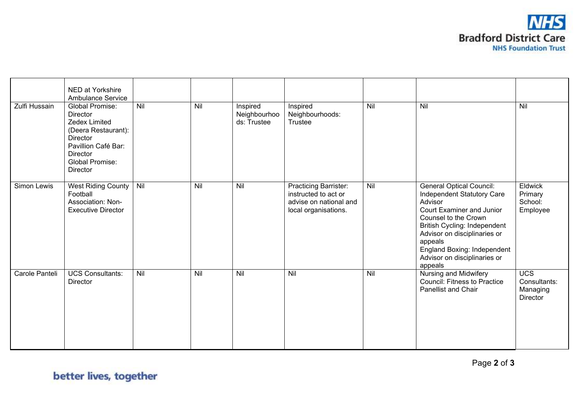

|                | NED at Yorkshire<br>Ambulance Service                                                                                                                                                |                |     |                                         |                                                                                                        |     |                                                                                                                                                                                                                                                                                    |                                                          |
|----------------|--------------------------------------------------------------------------------------------------------------------------------------------------------------------------------------|----------------|-----|-----------------------------------------|--------------------------------------------------------------------------------------------------------|-----|------------------------------------------------------------------------------------------------------------------------------------------------------------------------------------------------------------------------------------------------------------------------------------|----------------------------------------------------------|
| Zulfi Hussain  | <b>Global Promise:</b><br>Director<br><b>Zedex Limited</b><br>(Deera Restaurant):<br>Director<br>Pavillion Café Bar:<br><b>Director</b><br><b>Global Promise:</b><br><b>Director</b> | Nil            | Nil | Inspired<br>Neighbourhoo<br>ds: Trustee | Inspired<br>Neighbourhoods:<br>Trustee                                                                 | Nil | Nil                                                                                                                                                                                                                                                                                | Nil                                                      |
| Simon Lewis    | <b>West Riding County</b><br>Football<br>Association: Non-<br><b>Executive Director</b>                                                                                              | Nil            | Nil | Nil                                     | <b>Practicing Barrister:</b><br>instructed to act or<br>advise on national and<br>local organisations. | Nil | General Optical Council:<br>Independent Statutory Care<br>Advisor<br><b>Court Examiner and Junior</b><br>Counsel to the Crown<br>British Cycling: Independent<br>Advisor on disciplinaries or<br>appeals<br>England Boxing: Independent<br>Advisor on disciplinaries or<br>appeals | Eldwick<br>Primary<br>School:<br>Employee                |
| Carole Panteli | <b>UCS Consultants:</b><br><b>Director</b>                                                                                                                                           | $\overline{N}$ | Nil | Nil                                     | Nil                                                                                                    | Nil | <b>Nursing and Midwifery</b><br>Council: Fitness to Practice<br><b>Panellist and Chair</b>                                                                                                                                                                                         | $\overline{UCS}$<br>Consultants:<br>Managing<br>Director |